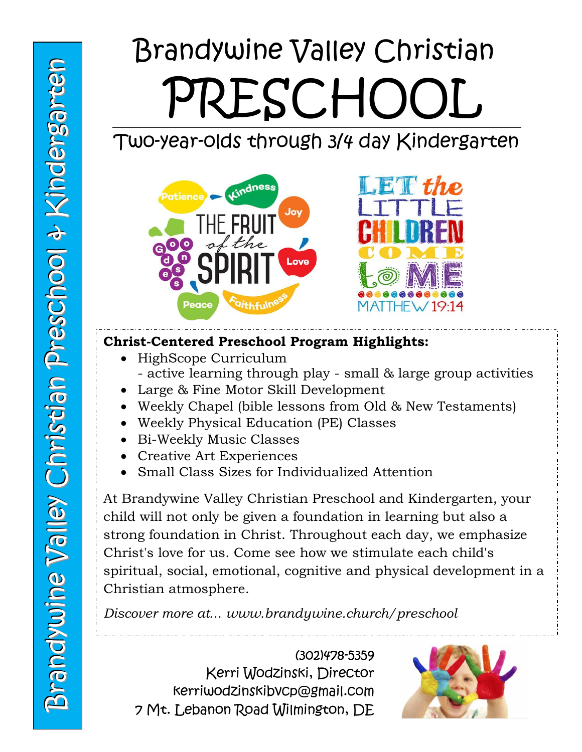# Brandywine Valley Christian PRESCHOOL

## Two-year-olds through 3/4 day Kindergarten



#### **Christ-Centered Preschool Program Highlights:**

- HighScope Curriculum - active learning through play - small & large group activities
- Large & Fine Motor Skill Development
- Weekly Chapel (bible lessons from Old & New Testaments)
- Weekly Physical Education (PE) Classes
- Bi-Weekly Music Classes
- Creative Art Experiences
- Small Class Sizes for Individualized Attention

At Brandywine Valley Christian Preschool and Kindergarten, your child will not only be given a foundation in learning but also a strong foundation in Christ. Throughout each day, we emphasize Christ's love for us. Come see how we stimulate each child's spiritual, social, emotional, cognitive and physical development in a Christian atmosphere.

*Discover more at... www.brandywine.church/preschool*

(302)478-5359 Kerri Wodzinski, Director kerriwodzinskibvcp@gmail.com 7 Mt. Lebanon Road Wilmington, DE